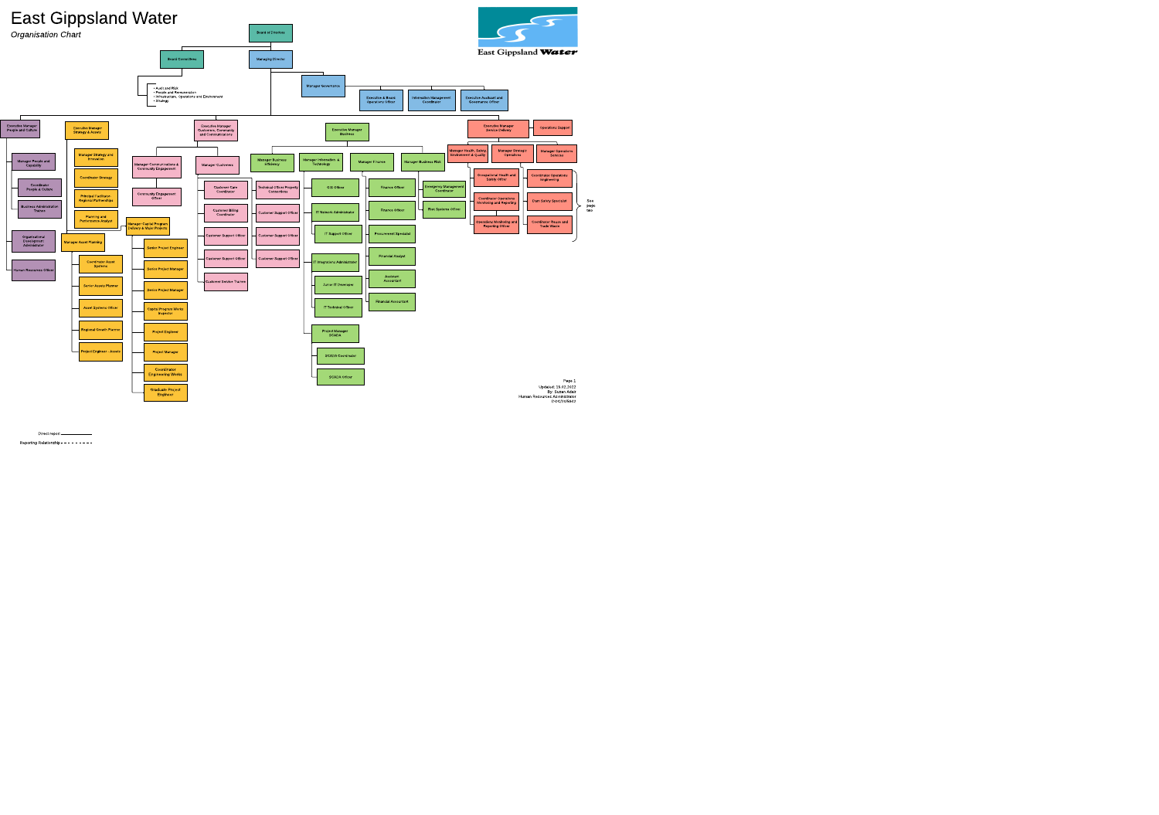Human Resources Asministrator DOC/20/5942



Direct report - **Constant Constant** 

Reporting Relationship - - - - - - - - -